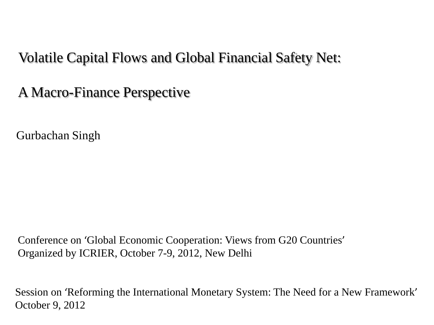#### Volatile Capital Flows and Global Financial Safety Net:

A Macro-Finance Perspective

Gurbachan Singh

 Conference on 'Global Economic Cooperation: Views from G20 Countries' Organized by ICRIER, October 7-9, 2012, New Delhi

 Session on 'Reforming the International Monetary System: The Need for a New Framework' October 9, 2012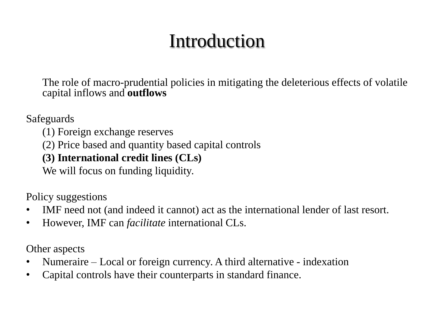# Introduction

The role of macro-prudential policies in mitigating the deleterious effects of volatile capital inflows and **outflows**

Safeguards

- (1) Foreign exchange reserves
- (2) Price based and quantity based capital controls

#### **(3) International credit lines (CLs)**

We will focus on funding liquidity.

Policy suggestions

- IMF need not (and indeed it cannot) act as the international lender of last resort.
- However, IMF can *facilitate* international CLs.

Other aspects

- Numeraire Local or foreign currency. A third alternative indexation
- Capital controls have their counterparts in standard finance.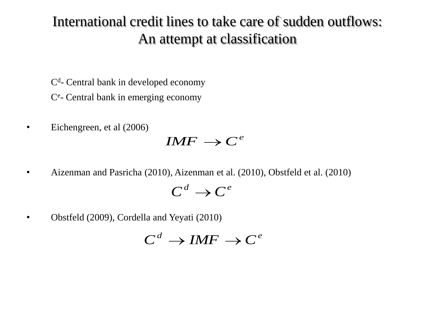### International credit lines to take care of sudden outflows: An attempt at classification

- C<sup>d</sup>- Central bank in developed economy
- Ce Central bank in emerging economy
- Eichengreen, et al (2006)

### $IMF \rightarrow C^e$

• Aizenman and Pasricha (2010), Aizenman et al. (2010), Obstfeld et al. (2010)

 $C^d \rightarrow C^e$ 

• Obstfeld (2009), Cordella and Yeyati (2010)

$$
C^d \to IMF \to C^e
$$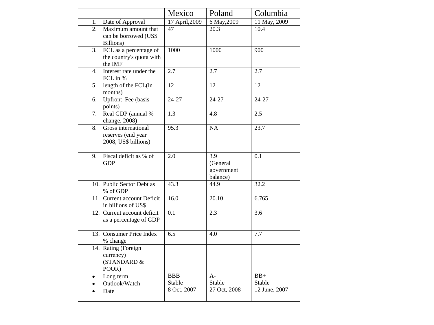|                  |                                                                   | Mexico                              | Poland                                                 | Columbia                         |
|------------------|-------------------------------------------------------------------|-------------------------------------|--------------------------------------------------------|----------------------------------|
| 1.               | Date of Approval                                                  | 17 April, 2009                      | 6 May, 2009                                            | 11 May, 2009                     |
| 2.               | Maximum amount that<br>can be borrowed (US\$)<br>Billions)        | 47                                  | 20.3                                                   | 10.4                             |
| $\overline{3}$ . | FCL as a percentage of<br>the country's quota with<br>the IMF     | 1000                                | 1000                                                   | 900                              |
| 4.               | Interest rate under the<br>FCL in %                               | 2.7                                 | 2.7                                                    | 2.7                              |
| 5.               | length of the FCL(in<br>months)                                   | $\overline{12}$                     | 12                                                     | $\overline{12}$                  |
| 6.               | <b>Upfront</b> Fee (basis<br>points)                              | 24-27                               | 24-27                                                  | 24-27                            |
| 7.               | Real GDP (annual %<br>change, 2008)                               | $\overline{1.3}$                    | 4.8                                                    | 2.5                              |
| 8.               | Gross international<br>reserves (end year<br>2008, US\$ billions) | 95.3                                | $\overline{NA}$                                        | 23.7                             |
| 9.               | Fiscal deficit as % of<br><b>GDP</b>                              | $\overline{2.0}$                    | $\overline{3.9}$<br>(General<br>government<br>balance) | 0.1                              |
|                  | 10. Public Sector Debt as<br>% of GDP                             | 43.3                                | 44.9                                                   | 32.2                             |
|                  | 11. Current account Deficit<br>in billions of US\$                | 16.0                                | 20.10                                                  | 6.765                            |
|                  | 12. Current account deficit<br>as a percentage of GDP             | 0.1                                 | 2.3                                                    | 3.6                              |
|                  | 13. Consumer Price Index<br>% change                              | 6.5                                 | 4.0                                                    | 7.7                              |
|                  | 14. Rating (Foreign<br>currency)<br>(STANDARD &<br>POOR)          |                                     |                                                        |                                  |
|                  | Long term<br>Outlook/Watch<br>Date                                | <b>BBB</b><br>Stable<br>8 Oct, 2007 | $A-$<br>Stable<br>27 Oct, 2008                         | $BB+$<br>Stable<br>12 June, 2007 |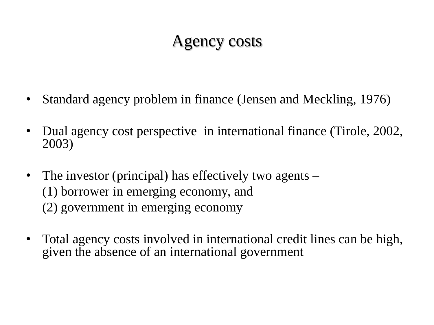## Agency costs

- Standard agency problem in finance (Jensen and Meckling, 1976)
- Dual agency cost perspective in international finance (Tirole, 2002, 2003)
- The investor (principal) has effectively two agents (1) borrower in emerging economy, and (2) government in emerging economy
- Total agency costs involved in international credit lines can be high, given the absence of an international government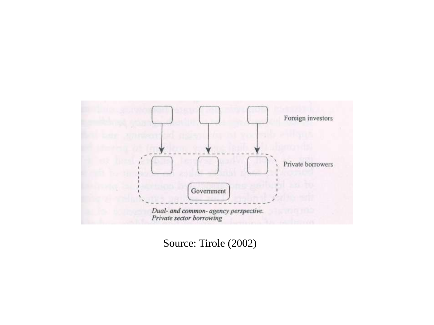

Source: Tirole (2002)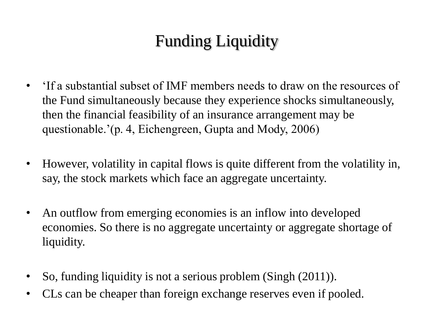## Funding Liquidity

- 'If a substantial subset of IMF members needs to draw on the resources of the Fund simultaneously because they experience shocks simultaneously, then the financial feasibility of an insurance arrangement may be questionable.'(p. 4, Eichengreen, Gupta and Mody, 2006)
- However, volatility in capital flows is quite different from the volatility in, say, the stock markets which face an aggregate uncertainty.
- An outflow from emerging economies is an inflow into developed economies. So there is no aggregate uncertainty or aggregate shortage of liquidity.
- So, funding liquidity is not a serious problem (Singh (2011)).
- CLs can be cheaper than foreign exchange reserves even if pooled.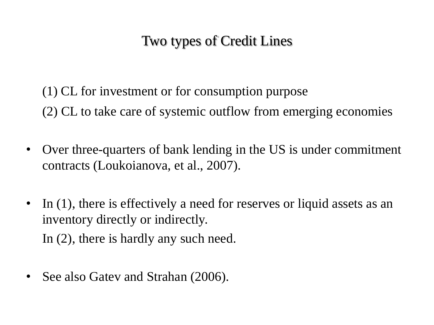### Two types of Credit Lines

(1) CL for investment or for consumption purpose (2) CL to take care of systemic outflow from emerging economies

- Over three-quarters of bank lending in the US is under commitment contracts (Loukoianova, et al., 2007).
- In (1), there is effectively a need for reserves or liquid assets as an inventory directly or indirectly. In (2), there is hardly any such need.
- See also Gatev and Strahan (2006).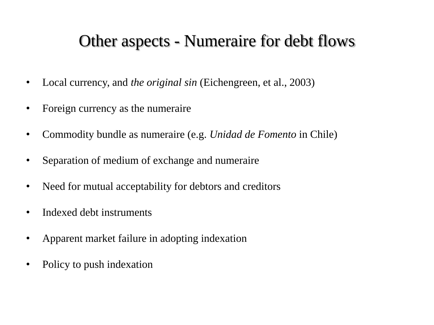### Other aspects - Numeraire for debt flows

- Local currency, and *the original sin* (Eichengreen, et al., 2003)
- Foreign currency as the numeraire
- Commodity bundle as numeraire (e.g. *Unidad de Fomento* in Chile)
- Separation of medium of exchange and numeraire
- Need for mutual acceptability for debtors and creditors
- Indexed debt instruments
- Apparent market failure in adopting indexation
- Policy to push indexation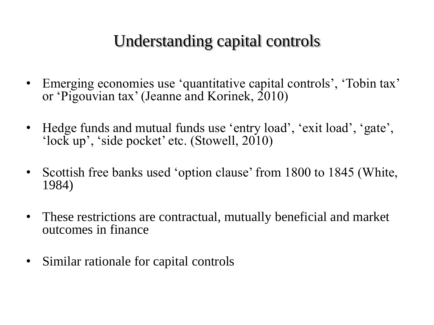## Understanding capital controls

- Emerging economies use 'quantitative capital controls', 'Tobin tax' or 'Pigouvian tax' (Jeanne and Korinek, 2010)
- Hedge funds and mutual funds use 'entry load', 'exit load', 'gate', 'lock up', 'side pocket' etc. (Stowell, 2010)
- Scottish free banks used 'option clause' from 1800 to 1845 (White, 1984)
- These restrictions are contractual, mutually beneficial and market outcomes in finance
- Similar rationale for capital controls